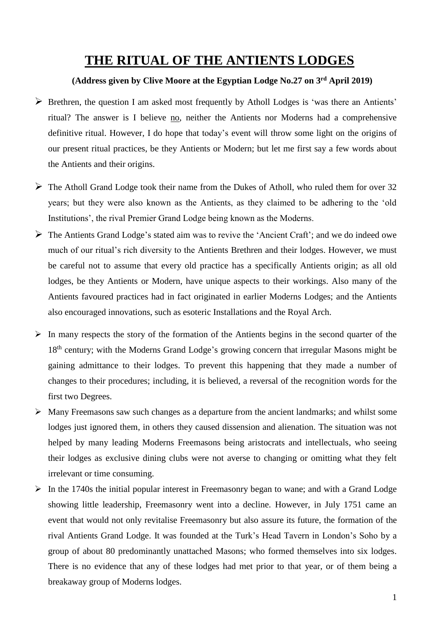## **THE RITUAL OF THE ANTIENTS LODGES**

## **(Address given by Clive Moore at the Egyptian Lodge No.27 on 3rd April 2019)**

- $\triangleright$  Brethren, the question I am asked most frequently by Atholl Lodges is 'was there an Antients' ritual? The answer is I believe no, neither the Antients nor Moderns had a comprehensive definitive ritual. However, I do hope that today's event will throw some light on the origins of our present ritual practices, be they Antients or Modern; but let me first say a few words about the Antients and their origins.
- $\triangleright$  The Atholl Grand Lodge took their name from the Dukes of Atholl, who ruled them for over 32 years; but they were also known as the Antients, as they claimed to be adhering to the 'old Institutions', the rival Premier Grand Lodge being known as the Moderns.
- $\triangleright$  The Antients Grand Lodge's stated aim was to revive the 'Ancient Craft'; and we do indeed owe much of our ritual's rich diversity to the Antients Brethren and their lodges. However, we must be careful not to assume that every old practice has a specifically Antients origin; as all old lodges, be they Antients or Modern, have unique aspects to their workings. Also many of the Antients favoured practices had in fact originated in earlier Moderns Lodges; and the Antients also encouraged innovations, such as esoteric Installations and the Royal Arch.
- $\triangleright$  In many respects the story of the formation of the Antients begins in the second quarter of the 18<sup>th</sup> century; with the Moderns Grand Lodge's growing concern that irregular Masons might be gaining admittance to their lodges. To prevent this happening that they made a number of changes to their procedures; including, it is believed, a reversal of the recognition words for the first two Degrees.
- $\triangleright$  Many Freemasons saw such changes as a departure from the ancient landmarks; and whilst some lodges just ignored them, in others they caused dissension and alienation. The situation was not helped by many leading Moderns Freemasons being aristocrats and intellectuals, who seeing their lodges as exclusive dining clubs were not averse to changing or omitting what they felt irrelevant or time consuming.
- $\triangleright$  In the 1740s the initial popular interest in Freemasonry began to wane; and with a Grand Lodge showing little leadership, Freemasonry went into a decline. However, in July 1751 came an event that would not only revitalise Freemasonry but also assure its future, the formation of the rival Antients Grand Lodge. It was founded at the Turk's Head Tavern in London's Soho by a group of about 80 predominantly unattached Masons; who formed themselves into six lodges. There is no evidence that any of these lodges had met prior to that year, or of them being a breakaway group of Moderns lodges.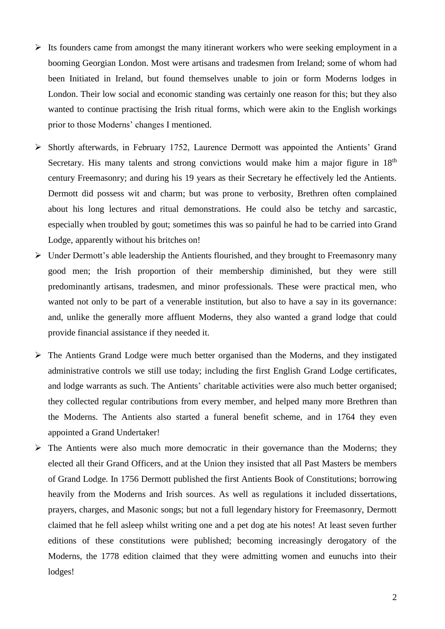- $\triangleright$  Its founders came from amongst the many itinerant workers who were seeking employment in a booming Georgian London. Most were artisans and tradesmen from Ireland; some of whom had been Initiated in Ireland, but found themselves unable to join or form Moderns lodges in London. Their low social and economic standing was certainly one reason for this; but they also wanted to continue practising the Irish ritual forms, which were akin to the English workings prior to those Moderns' changes I mentioned.
- $\triangleright$  Shortly afterwards, in February 1752, Laurence Dermott was appointed the Antients' Grand Secretary. His many talents and strong convictions would make him a major figure in  $18<sup>th</sup>$ century Freemasonry; and during his 19 years as their Secretary he effectively led the Antients. Dermott did possess wit and charm; but was prone to verbosity, Brethren often complained about his long lectures and ritual demonstrations. He could also be tetchy and sarcastic, especially when troubled by gout; sometimes this was so painful he had to be carried into Grand Lodge, apparently without his britches on!
- $\triangleright$  Under Dermott's able leadership the Antients flourished, and they brought to Freemasonry many good men; the Irish proportion of their membership diminished, but they were still predominantly artisans, tradesmen, and minor professionals. These were practical men, who wanted not only to be part of a venerable institution, but also to have a say in its governance: and, unlike the generally more affluent Moderns, they also wanted a grand lodge that could provide financial assistance if they needed it.
- $\triangleright$  The Antients Grand Lodge were much better organised than the Moderns, and they instigated administrative controls we still use today; including the first English Grand Lodge certificates, and lodge warrants as such. The Antients' charitable activities were also much better organised; they collected regular contributions from every member, and helped many more Brethren than the Moderns. The Antients also started a funeral benefit scheme, and in 1764 they even appointed a Grand Undertaker!
- $\triangleright$  The Antients were also much more democratic in their governance than the Moderns; they elected all their Grand Officers, and at the Union they insisted that all Past Masters be members of Grand Lodge. In 1756 Dermott published the first Antients Book of Constitutions; borrowing heavily from the Moderns and Irish sources. As well as regulations it included dissertations, prayers, charges, and Masonic songs; but not a full legendary history for Freemasonry, Dermott claimed that he fell asleep whilst writing one and a pet dog ate his notes! At least seven further editions of these constitutions were published; becoming increasingly derogatory of the Moderns, the 1778 edition claimed that they were admitting women and eunuchs into their lodges!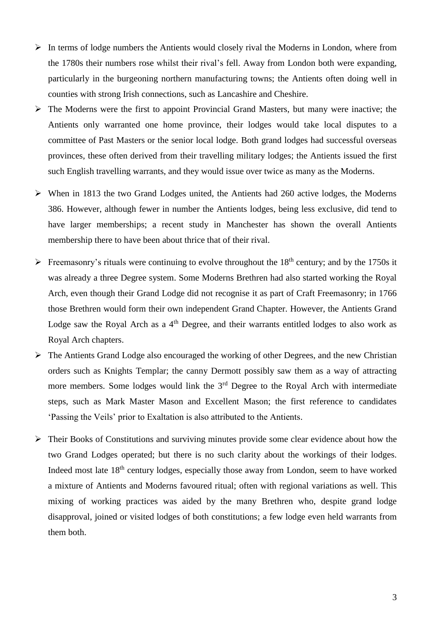- $\triangleright$  In terms of lodge numbers the Antients would closely rival the Moderns in London, where from the 1780s their numbers rose whilst their rival's fell. Away from London both were expanding, particularly in the burgeoning northern manufacturing towns; the Antients often doing well in counties with strong Irish connections, such as Lancashire and Cheshire.
- $\triangleright$  The Moderns were the first to appoint Provincial Grand Masters, but many were inactive; the Antients only warranted one home province, their lodges would take local disputes to a committee of Past Masters or the senior local lodge. Both grand lodges had successful overseas provinces, these often derived from their travelling military lodges; the Antients issued the first such English travelling warrants, and they would issue over twice as many as the Moderns.
- $\triangleright$  When in 1813 the two Grand Lodges united, the Antients had 260 active lodges, the Moderns 386. However, although fewer in number the Antients lodges, being less exclusive, did tend to have larger memberships; a recent study in Manchester has shown the overall Antients membership there to have been about thrice that of their rival.
- Freemasonry's rituals were continuing to evolve throughout the  $18<sup>th</sup>$  century; and by the 1750s it was already a three Degree system. Some Moderns Brethren had also started working the Royal Arch, even though their Grand Lodge did not recognise it as part of Craft Freemasonry; in 1766 those Brethren would form their own independent Grand Chapter. However, the Antients Grand Lodge saw the Royal Arch as a  $4<sup>th</sup>$  Degree, and their warrants entitled lodges to also work as Royal Arch chapters.
- $\triangleright$  The Antients Grand Lodge also encouraged the working of other Degrees, and the new Christian orders such as Knights Templar; the canny Dermott possibly saw them as a way of attracting more members. Some lodges would link the 3<sup>rd</sup> Degree to the Royal Arch with intermediate steps, such as Mark Master Mason and Excellent Mason; the first reference to candidates 'Passing the Veils' prior to Exaltation is also attributed to the Antients.
- Their Books of Constitutions and surviving minutes provide some clear evidence about how the two Grand Lodges operated; but there is no such clarity about the workings of their lodges. Indeed most late 18th century lodges, especially those away from London, seem to have worked a mixture of Antients and Moderns favoured ritual; often with regional variations as well. This mixing of working practices was aided by the many Brethren who, despite grand lodge disapproval, joined or visited lodges of both constitutions; a few lodge even held warrants from them both.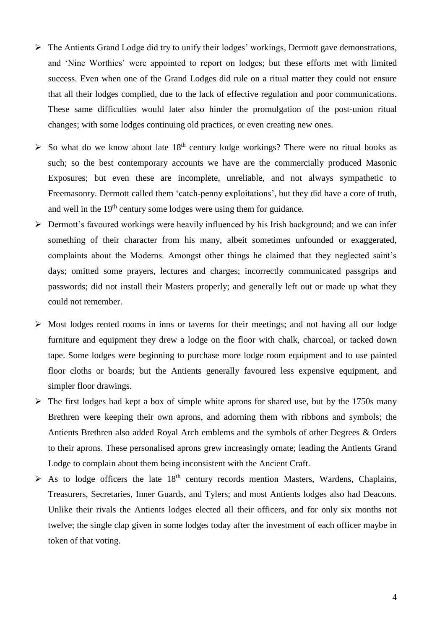- $\triangleright$  The Antients Grand Lodge did try to unify their lodges' workings, Dermott gave demonstrations, and 'Nine Worthies' were appointed to report on lodges; but these efforts met with limited success. Even when one of the Grand Lodges did rule on a ritual matter they could not ensure that all their lodges complied, due to the lack of effective regulation and poor communications. These same difficulties would later also hinder the promulgation of the post-union ritual changes; with some lodges continuing old practices, or even creating new ones.
- $\triangleright$  So what do we know about late 18<sup>th</sup> century lodge workings? There were no ritual books as such; so the best contemporary accounts we have are the commercially produced Masonic Exposures; but even these are incomplete, unreliable, and not always sympathetic to Freemasonry. Dermott called them 'catch-penny exploitations', but they did have a core of truth, and well in the 19<sup>th</sup> century some lodges were using them for guidance.
- $\triangleright$  Dermott's favoured workings were heavily influenced by his Irish background; and we can infer something of their character from his many, albeit sometimes unfounded or exaggerated, complaints about the Moderns. Amongst other things he claimed that they neglected saint's days; omitted some prayers, lectures and charges; incorrectly communicated passgrips and passwords; did not install their Masters properly; and generally left out or made up what they could not remember.
- $\triangleright$  Most lodges rented rooms in inns or taverns for their meetings; and not having all our lodge furniture and equipment they drew a lodge on the floor with chalk, charcoal, or tacked down tape. Some lodges were beginning to purchase more lodge room equipment and to use painted floor cloths or boards; but the Antients generally favoured less expensive equipment, and simpler floor drawings.
- $\triangleright$  The first lodges had kept a box of simple white aprons for shared use, but by the 1750s many Brethren were keeping their own aprons, and adorning them with ribbons and symbols; the Antients Brethren also added Royal Arch emblems and the symbols of other Degrees & Orders to their aprons. These personalised aprons grew increasingly ornate; leading the Antients Grand Lodge to complain about them being inconsistent with the Ancient Craft.
- $\triangleright$  As to lodge officers the late 18<sup>th</sup> century records mention Masters, Wardens, Chaplains, Treasurers, Secretaries, Inner Guards, and Tylers; and most Antients lodges also had Deacons. Unlike their rivals the Antients lodges elected all their officers, and for only six months not twelve; the single clap given in some lodges today after the investment of each officer maybe in token of that voting.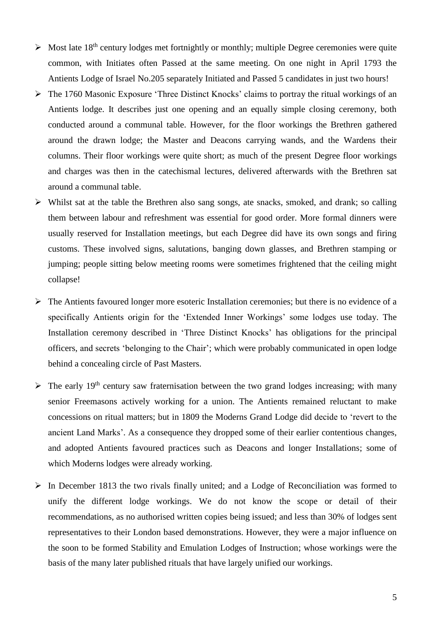- $\triangleright$  Most late 18<sup>th</sup> century lodges met fortnightly or monthly; multiple Degree ceremonies were quite common, with Initiates often Passed at the same meeting. On one night in April 1793 the Antients Lodge of Israel No.205 separately Initiated and Passed 5 candidates in just two hours!
- $\triangleright$  The 1760 Masonic Exposure 'Three Distinct Knocks' claims to portray the ritual workings of an Antients lodge. It describes just one opening and an equally simple closing ceremony, both conducted around a communal table. However, for the floor workings the Brethren gathered around the drawn lodge; the Master and Deacons carrying wands, and the Wardens their columns. Their floor workings were quite short; as much of the present Degree floor workings and charges was then in the catechismal lectures, delivered afterwards with the Brethren sat around a communal table.
- $\triangleright$  Whilst sat at the table the Brethren also sang songs, ate snacks, smoked, and drank; so calling them between labour and refreshment was essential for good order. More formal dinners were usually reserved for Installation meetings, but each Degree did have its own songs and firing customs. These involved signs, salutations, banging down glasses, and Brethren stamping or jumping; people sitting below meeting rooms were sometimes frightened that the ceiling might collapse!
- $\triangleright$  The Antients favoured longer more esoteric Installation ceremonies; but there is no evidence of a specifically Antients origin for the 'Extended Inner Workings' some lodges use today. The Installation ceremony described in 'Three Distinct Knocks' has obligations for the principal officers, and secrets 'belonging to the Chair'; which were probably communicated in open lodge behind a concealing circle of Past Masters.
- $\triangleright$  The early 19<sup>th</sup> century saw fraternisation between the two grand lodges increasing; with many senior Freemasons actively working for a union. The Antients remained reluctant to make concessions on ritual matters; but in 1809 the Moderns Grand Lodge did decide to 'revert to the ancient Land Marks'. As a consequence they dropped some of their earlier contentious changes, and adopted Antients favoured practices such as Deacons and longer Installations; some of which Moderns lodges were already working.
- $\triangleright$  In December 1813 the two rivals finally united; and a Lodge of Reconciliation was formed to unify the different lodge workings. We do not know the scope or detail of their recommendations, as no authorised written copies being issued; and less than 30% of lodges sent representatives to their London based demonstrations. However, they were a major influence on the soon to be formed Stability and Emulation Lodges of Instruction; whose workings were the basis of the many later published rituals that have largely unified our workings.